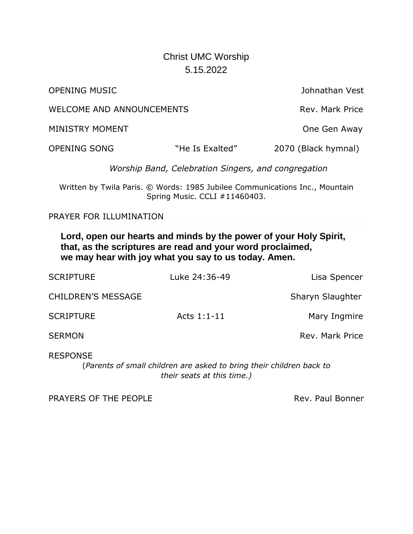## Christ UMC Worship 5.15.2022

OPENING MUSIC Johnathan Vest

WELCOME AND ANNOUNCEMENTS WELCOME AND ANNOUNCEMENTS

MINISTRY MOMENT NETWORKS AND THE SERVICE ONE GEN AWAY

OPENING SONG "He Is Exalted" 2070 (Black hymnal)

*Worship Band, Celebration Singers, and congregation*

Written by Twila Paris. © Words: 1985 Jubilee Communications Inc., Mountain Spring Music. CCLI #11460403.

PRAYER FOR ILLUMINATION

**Lord, open our hearts and minds by the power of your Holy Spirit, that, as the scriptures are read and your word proclaimed, we may hear with joy what you say to us today. Amen.**

| <b>SCRIPTURE</b>          | Luke 24:36-49 | Lisa Spencer     |
|---------------------------|---------------|------------------|
| <b>CHILDREN'S MESSAGE</b> |               | Sharyn Slaughter |
| <b>SCRIPTURE</b>          | Acts $1:1-11$ | Mary Ingmire     |
| <b>SERMON</b>             |               | Rev. Mark Price  |
|                           |               |                  |

RESPONSE

(*Parents of small children are asked to bring their children back to their seats at this time.)*

PRAYERS OF THE PEOPLE **Rev. Paul Bonner** Rev. Paul Bonner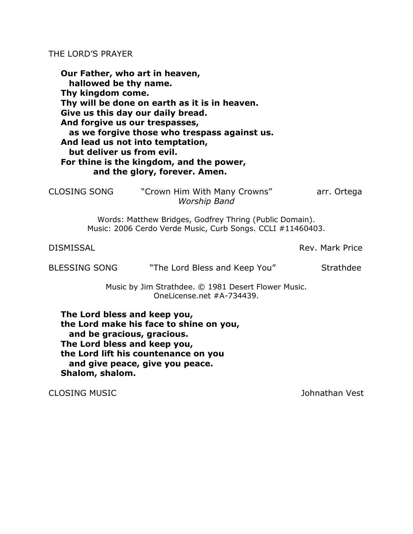## THE LORD'S PRAYER

**Our Father, who art in heaven, hallowed be thy name. Thy kingdom come. Thy will be done on earth as it is in heaven. Give us this day our daily bread. And forgive us our trespasses, as we forgive those who trespass against us. And lead us not into temptation, but deliver us from evil. For thine is the kingdom, and the power, and the glory, forever. Amen.**

CLOSING SONG "Crown Him With Many Crowns" arr. Ortega *Worship Band*

> Words: Matthew Bridges, Godfrey Thring (Public Domain). Music: 2006 Cerdo Verde Music, Curb Songs. CCLI #11460403.

DISMISSAL Rev. Mark Price

BLESSING SONG The Lord Bless and Keep You" Strathdee

Music by Jim Strathdee. © 1981 Desert Flower Music. Onel icense.net  $#A-734439$ .

**The Lord bless and keep you, the Lord make his face to shine on you, and be gracious, gracious. The Lord bless and keep you, the Lord lift his countenance on you and give peace, give you peace. Shalom, shalom.**

CLOSING MUSIC Johnathan Vest